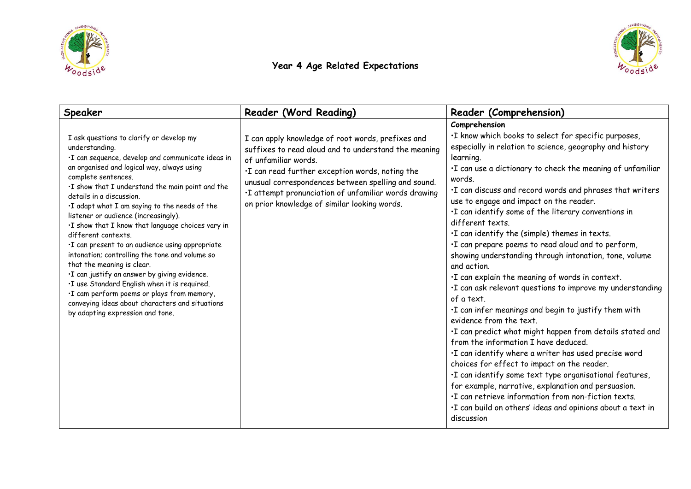



## **Year 4 Age Related Expectations**

| Speaker                                                                                                                                                                                                                                                                                                                                                                                                                                                                                                                                                                                                                                                                                                                                                                                                            | Reader (Word Reading)                                                                                                                                                                                                                                                                                                                                | Reader (Comprehension)                                                                                                                                                                                                                                                                                                                                                                                                                                                                                                                                                                                                                                                                                                                                                                                                                                                                                                                                                                                                                                                                                                                                                                                                                                                              |
|--------------------------------------------------------------------------------------------------------------------------------------------------------------------------------------------------------------------------------------------------------------------------------------------------------------------------------------------------------------------------------------------------------------------------------------------------------------------------------------------------------------------------------------------------------------------------------------------------------------------------------------------------------------------------------------------------------------------------------------------------------------------------------------------------------------------|------------------------------------------------------------------------------------------------------------------------------------------------------------------------------------------------------------------------------------------------------------------------------------------------------------------------------------------------------|-------------------------------------------------------------------------------------------------------------------------------------------------------------------------------------------------------------------------------------------------------------------------------------------------------------------------------------------------------------------------------------------------------------------------------------------------------------------------------------------------------------------------------------------------------------------------------------------------------------------------------------------------------------------------------------------------------------------------------------------------------------------------------------------------------------------------------------------------------------------------------------------------------------------------------------------------------------------------------------------------------------------------------------------------------------------------------------------------------------------------------------------------------------------------------------------------------------------------------------------------------------------------------------|
| I ask questions to clarify or develop my<br>understanding.<br>·I can sequence, develop and communicate ideas in<br>an organised and logical way, always using<br>complete sentences.<br>.I show that I understand the main point and the<br>details in a discussion.<br>. I adapt what I am saying to the needs of the<br>listener or audience (increasingly).<br>.I show that I know that language choices vary in<br>different contexts.<br>·I can present to an audience using appropriate<br>intonation; controlling the tone and volume so<br>that the meaning is clear.<br>·I can justify an answer by giving evidence.<br>.I use Standard English when it is required.<br>·I cam perform poems or plays from memory,<br>conveying ideas about characters and situations<br>by adapting expression and tone. | I can apply knowledge of root words, prefixes and<br>suffixes to read aloud and to understand the meaning<br>of unfamiliar words.<br>. I can read further exception words, noting the<br>unusual correspondences between spelling and sound.<br>.I attempt pronunciation of unfamiliar words drawing<br>on prior knowledge of similar looking words. | Comprehension<br>.I know which books to select for specific purposes,<br>especially in relation to science, geography and history<br>learning.<br>. I can use a dictionary to check the meaning of unfamiliar<br>words.<br>. I can discuss and record words and phrases that writers<br>use to engage and impact on the reader.<br>. I can identify some of the literary conventions in<br>different texts.<br>. I can identify the (simple) themes in texts.<br>·I can prepare poems to read aloud and to perform,<br>showing understanding through intonation, tone, volume<br>and action.<br>. I can explain the meaning of words in context.<br>. I can ask relevant questions to improve my understanding<br>of a text.<br>. I can infer meanings and begin to justify them with<br>evidence from the text.<br>. I can predict what might happen from details stated and<br>from the information I have deduced.<br>·I can identify where a writer has used precise word<br>choices for effect to impact on the reader.<br>·I can identify some text type organisational features,<br>for example, narrative, explanation and persuasion.<br>. I can retrieve information from non-fiction texts.<br>. I can build on others' ideas and opinions about a text in<br>discussion |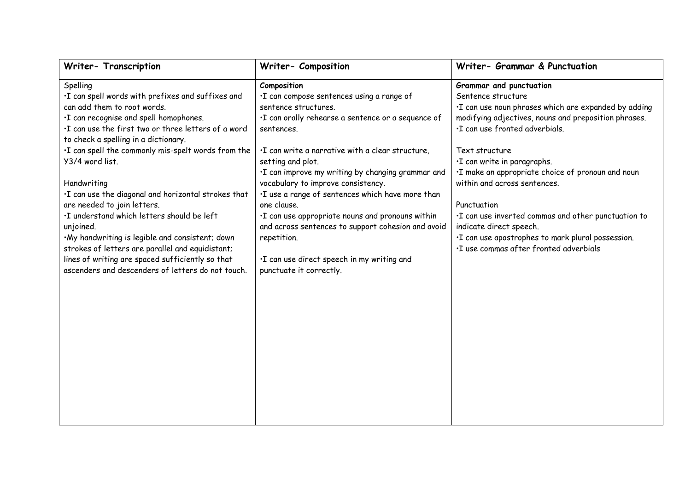| Writer- Transcription                                                                                                                                                                                                                                                                                                                                                                                                                                                                                                                                                                                                                                                                           | Writer- Composition                                                                                                                                                                                                                                                                                                                                                                                                                                                                                                                                                                            | Writer- Grammar & Punctuation                                                                                                                                                                                                                                                                                                                                                                                                                                                                                                          |
|-------------------------------------------------------------------------------------------------------------------------------------------------------------------------------------------------------------------------------------------------------------------------------------------------------------------------------------------------------------------------------------------------------------------------------------------------------------------------------------------------------------------------------------------------------------------------------------------------------------------------------------------------------------------------------------------------|------------------------------------------------------------------------------------------------------------------------------------------------------------------------------------------------------------------------------------------------------------------------------------------------------------------------------------------------------------------------------------------------------------------------------------------------------------------------------------------------------------------------------------------------------------------------------------------------|----------------------------------------------------------------------------------------------------------------------------------------------------------------------------------------------------------------------------------------------------------------------------------------------------------------------------------------------------------------------------------------------------------------------------------------------------------------------------------------------------------------------------------------|
| Spelling<br>·I can spell words with prefixes and suffixes and<br>can add them to root words.<br>·I can recognise and spell homophones.<br>.I can use the first two or three letters of a word<br>to check a spelling in a dictionary.<br>. I can spell the commonly mis-spelt words from the<br>Y3/4 word list.<br>Handwriting<br>.I can use the diagonal and horizontal strokes that<br>are needed to join letters.<br>.I understand which letters should be left<br>unjoined.<br>·My handwriting is legible and consistent; down<br>strokes of letters are parallel and equidistant;<br>lines of writing are spaced sufficiently so that<br>ascenders and descenders of letters do not touch. | Composition<br>·I can compose sentences using a range of<br>sentence structures.<br>·I can orally rehearse a sentence or a sequence of<br>sentences.<br>. I can write a narrative with a clear structure,<br>setting and plot.<br>·I can improve my writing by changing grammar and<br>vocabulary to improve consistency.<br>·I use a range of sentences which have more than<br>one clause.<br>·I can use appropriate nouns and pronouns within<br>and across sentences to support cohesion and avoid<br>repetition.<br>·I can use direct speech in my writing and<br>punctuate it correctly. | Grammar and punctuation<br>Sentence structure<br>·I can use noun phrases which are expanded by adding<br>modifying adjectives, nouns and preposition phrases.<br>·I can use fronted adverbials.<br>Text structure<br>·I can write in paragraphs.<br>·I make an appropriate choice of pronoun and noun<br>within and across sentences.<br>Punctuation<br>. I can use inverted commas and other punctuation to<br>indicate direct speech.<br>·I can use apostrophes to mark plural possession.<br>·I use commas after fronted adverbials |
|                                                                                                                                                                                                                                                                                                                                                                                                                                                                                                                                                                                                                                                                                                 |                                                                                                                                                                                                                                                                                                                                                                                                                                                                                                                                                                                                |                                                                                                                                                                                                                                                                                                                                                                                                                                                                                                                                        |